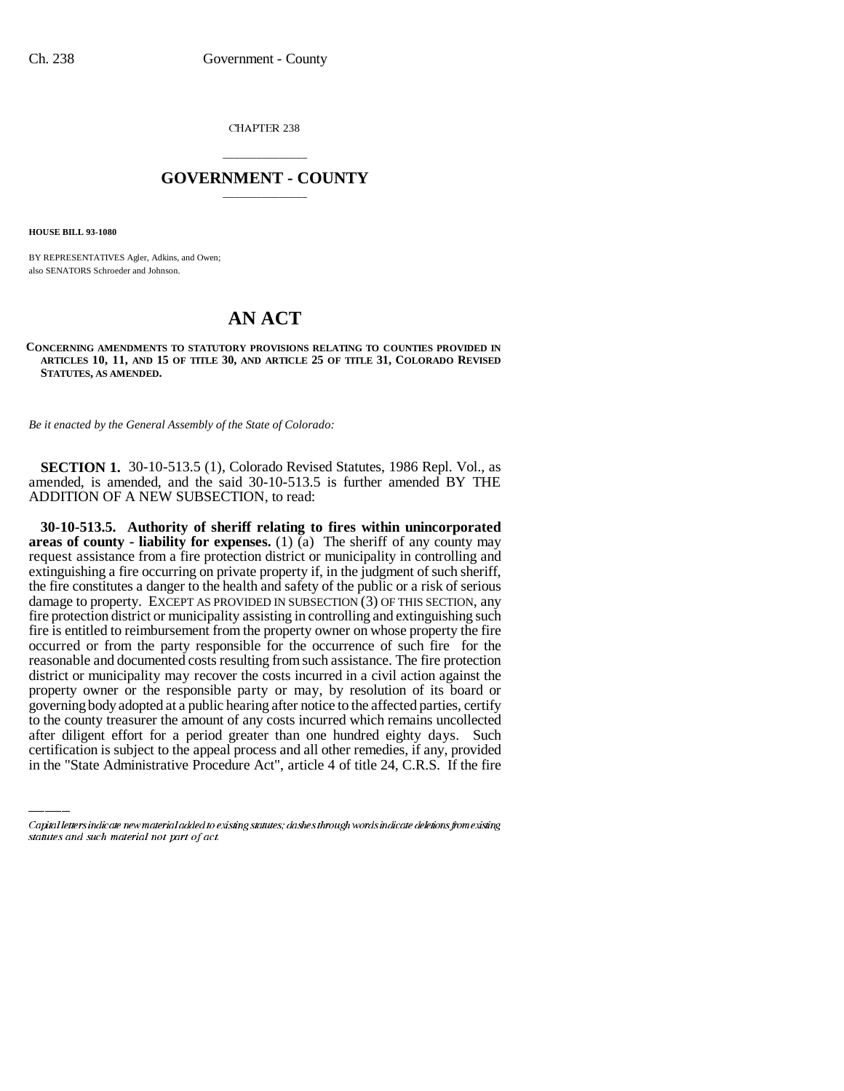CHAPTER 238

## \_\_\_\_\_\_\_\_\_\_\_\_\_\_\_ **GOVERNMENT - COUNTY** \_\_\_\_\_\_\_\_\_\_\_\_\_\_\_

**HOUSE BILL 93-1080**

BY REPRESENTATIVES Agler, Adkins, and Owen; also SENATORS Schroeder and Johnson.

## **AN ACT**

**CONCERNING AMENDMENTS TO STATUTORY PROVISIONS RELATING TO COUNTIES PROVIDED IN ARTICLES 10, 11, AND 15 OF TITLE 30, AND ARTICLE 25 OF TITLE 31, COLORADO REVISED STATUTES, AS AMENDED.**

*Be it enacted by the General Assembly of the State of Colorado:*

**SECTION 1.** 30-10-513.5 (1), Colorado Revised Statutes, 1986 Repl. Vol., as amended, is amended, and the said 30-10-513.5 is further amended BY THE ADDITION OF A NEW SUBSECTION, to read:

governing body adopted at a public hearing after notice to the affected parties, certify **30-10-513.5. Authority of sheriff relating to fires within unincorporated areas of county - liability for expenses.** (1) (a) The sheriff of any county may request assistance from a fire protection district or municipality in controlling and extinguishing a fire occurring on private property if, in the judgment of such sheriff, the fire constitutes a danger to the health and safety of the public or a risk of serious damage to property. EXCEPT AS PROVIDED IN SUBSECTION (3) OF THIS SECTION, any fire protection district or municipality assisting in controlling and extinguishing such fire is entitled to reimbursement from the property owner on whose property the fire occurred or from the party responsible for the occurrence of such fire for the reasonable and documented costs resulting from such assistance. The fire protection district or municipality may recover the costs incurred in a civil action against the property owner or the responsible party or may, by resolution of its board or to the county treasurer the amount of any costs incurred which remains uncollected after diligent effort for a period greater than one hundred eighty days. Such certification is subject to the appeal process and all other remedies, if any, provided in the "State Administrative Procedure Act", article 4 of title 24, C.R.S. If the fire

Capital letters indicate new material added to existing statutes; dashes through words indicate deletions from existing statutes and such material not part of act.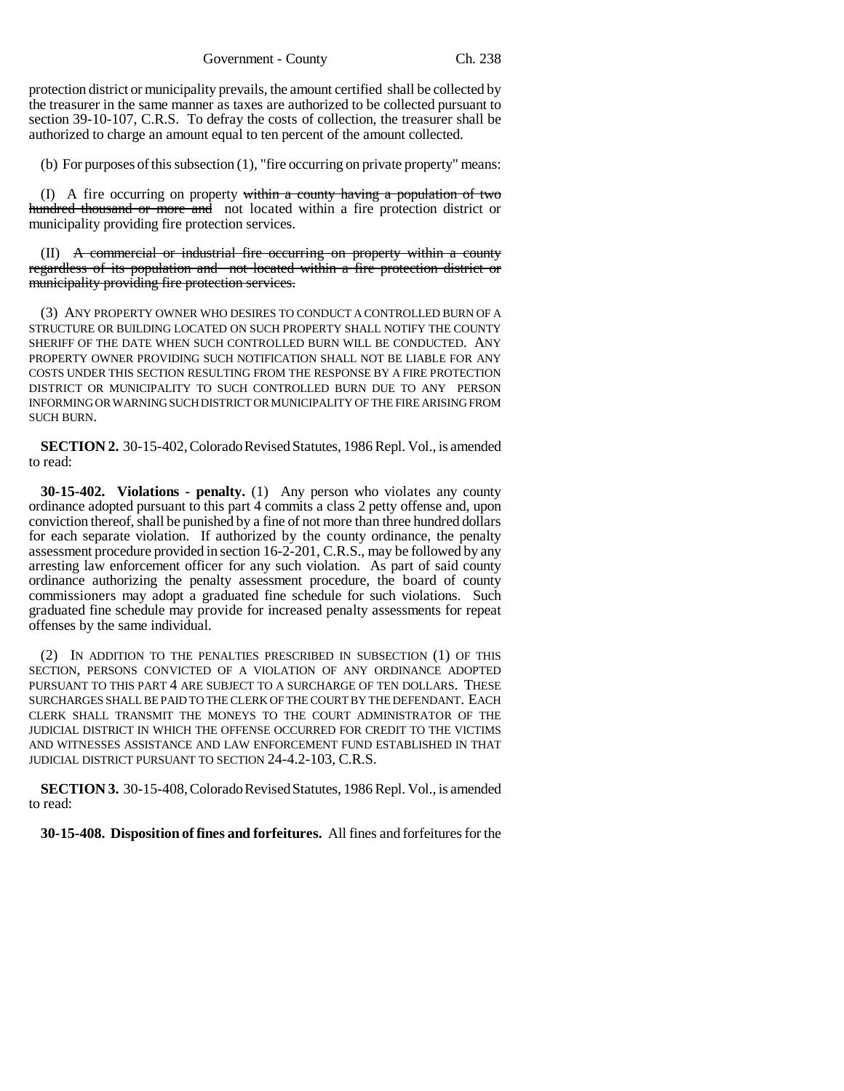protection district or municipality prevails, the amount certified shall be collected by the treasurer in the same manner as taxes are authorized to be collected pursuant to section 39-10-107, C.R.S. To defray the costs of collection, the treasurer shall be authorized to charge an amount equal to ten percent of the amount collected.

(b) For purposes of this subsection (1), "fire occurring on private property" means:

(I) A fire occurring on property within a county having a population of two hundred thousand or more and not located within a fire protection district or municipality providing fire protection services.

(II) A commercial or industrial fire occurring on property within a county regardless of its population and not located within a fire protection district or municipality providing fire protection services.

(3) ANY PROPERTY OWNER WHO DESIRES TO CONDUCT A CONTROLLED BURN OF A STRUCTURE OR BUILDING LOCATED ON SUCH PROPERTY SHALL NOTIFY THE COUNTY SHERIFF OF THE DATE WHEN SUCH CONTROLLED BURN WILL BE CONDUCTED. ANY PROPERTY OWNER PROVIDING SUCH NOTIFICATION SHALL NOT BE LIABLE FOR ANY COSTS UNDER THIS SECTION RESULTING FROM THE RESPONSE BY A FIRE PROTECTION DISTRICT OR MUNICIPALITY TO SUCH CONTROLLED BURN DUE TO ANY PERSON INFORMING OR WARNING SUCH DISTRICT OR MUNICIPALITY OF THE FIRE ARISING FROM SUCH BURN.

**SECTION 2.** 30-15-402, Colorado Revised Statutes, 1986 Repl. Vol., is amended to read:

**30-15-402. Violations - penalty.** (1) Any person who violates any county ordinance adopted pursuant to this part 4 commits a class 2 petty offense and, upon conviction thereof, shall be punished by a fine of not more than three hundred dollars for each separate violation. If authorized by the county ordinance, the penalty assessment procedure provided in section 16-2-201, C.R.S., may be followed by any arresting law enforcement officer for any such violation. As part of said county ordinance authorizing the penalty assessment procedure, the board of county commissioners may adopt a graduated fine schedule for such violations. Such graduated fine schedule may provide for increased penalty assessments for repeat offenses by the same individual.

(2) IN ADDITION TO THE PENALTIES PRESCRIBED IN SUBSECTION (1) OF THIS SECTION, PERSONS CONVICTED OF A VIOLATION OF ANY ORDINANCE ADOPTED PURSUANT TO THIS PART 4 ARE SUBJECT TO A SURCHARGE OF TEN DOLLARS. THESE SURCHARGES SHALL BE PAID TO THE CLERK OF THE COURT BY THE DEFENDANT. EACH CLERK SHALL TRANSMIT THE MONEYS TO THE COURT ADMINISTRATOR OF THE JUDICIAL DISTRICT IN WHICH THE OFFENSE OCCURRED FOR CREDIT TO THE VICTIMS AND WITNESSES ASSISTANCE AND LAW ENFORCEMENT FUND ESTABLISHED IN THAT JUDICIAL DISTRICT PURSUANT TO SECTION 24-4.2-103, C.R.S.

**SECTION 3.** 30-15-408, Colorado Revised Statutes, 1986 Repl. Vol., is amended to read:

**30-15-408. Disposition of fines and forfeitures.** All fines and forfeitures for the